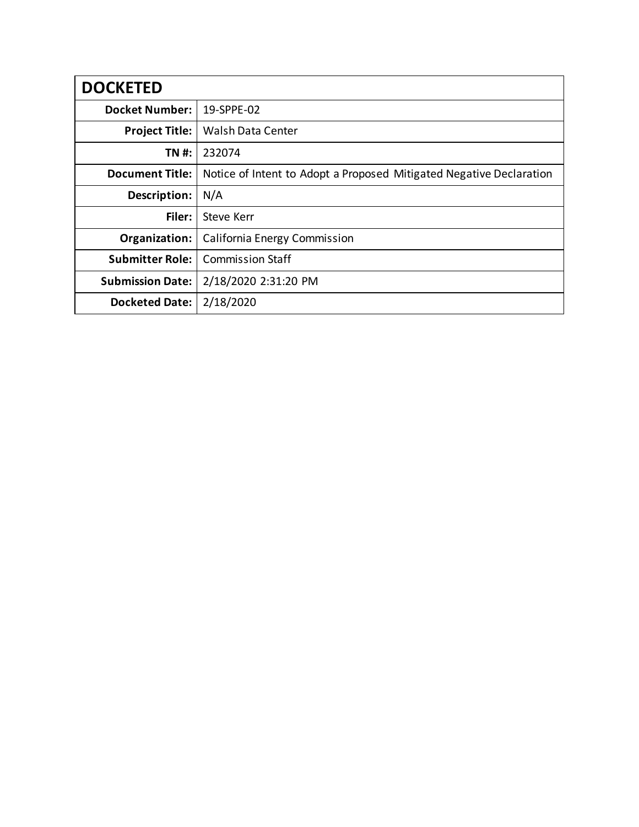| <b>DOCKETED</b>         |                                                                     |
|-------------------------|---------------------------------------------------------------------|
| <b>Docket Number:</b>   | 19-SPPE-02                                                          |
| <b>Project Title:</b>   | Walsh Data Center                                                   |
| TN #:                   | 232074                                                              |
| <b>Document Title:</b>  | Notice of Intent to Adopt a Proposed Mitigated Negative Declaration |
| Description:            | N/A                                                                 |
| Filer:                  | <b>Steve Kerr</b>                                                   |
| Organization:           | California Energy Commission                                        |
| <b>Submitter Role:</b>  | <b>Commission Staff</b>                                             |
| <b>Submission Date:</b> | 2/18/2020 2:31:20 PM                                                |
| <b>Docketed Date:</b>   | 2/18/2020                                                           |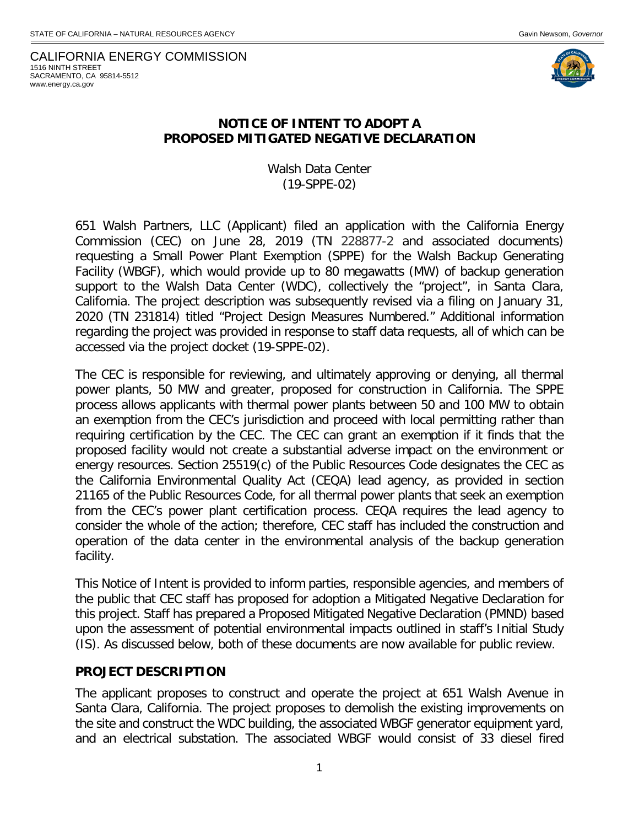CALIFORNIA ENERGY COMMISSION 1516 NINTH STREET SACRAMENTO, CA 95814-5512 www.energy.ca.gov



#### **NOTICE OF INTENT TO ADOPT A PROPOSED MITIGATED NEGATIVE DECLARATION**

Walsh Data Center (19-SPPE-02)

651 Walsh Partners, LLC (Applicant) filed an application with the California Energy Commission (CEC) on June 28, 2019 (TN 228877-2 and associated documents) requesting a Small Power Plant Exemption (SPPE) for the Walsh Backup Generating Facility (WBGF), which would provide up to 80 megawatts (MW) of backup generation support to the Walsh Data Center (WDC), collectively the "project", in Santa Clara, California. The project description was subsequently revised via a filing on January 31, 2020 (TN 231814) titled "Project Design Measures Numbered." Additional information regarding the project was provided in response to staff data requests, all of which can be accessed via the project docket (19-SPPE-02).

The CEC is responsible for reviewing, and ultimately approving or denying, all thermal power plants, 50 MW and greater, proposed for construction in California. The SPPE process allows applicants with thermal power plants between 50 and 100 MW to obtain an exemption from the CEC's jurisdiction and proceed with local permitting rather than requiring certification by the CEC. The CEC can grant an exemption if it finds that the proposed facility would not create a substantial adverse impact on the environment or energy resources. Section 25519(c) of the Public Resources Code designates the CEC as the California Environmental Quality Act (CEQA) lead agency, as provided in section 21165 of the Public Resources Code, for all thermal power plants that seek an exemption from the CEC's power plant certification process. CEQA requires the lead agency to consider the whole of the action; therefore, CEC staff has included the construction and operation of the data center in the environmental analysis of the backup generation facility.

This Notice of Intent is provided to inform parties, responsible agencies, and members of the public that CEC staff has proposed for adoption a Mitigated Negative Declaration for this project. Staff has prepared a Proposed Mitigated Negative Declaration (PMND) based upon the assessment of potential environmental impacts outlined in staff's Initial Study (IS). As discussed below, both of these documents are now available for public review.

#### **PROJECT DESCRIPTION**

The applicant proposes to construct and operate the project at 651 Walsh Avenue in Santa Clara, California. The project proposes to demolish the existing improvements on the site and construct the WDC building, the associated WBGF generator equipment yard, and an electrical substation. The associated WBGF would consist of 33 diesel fired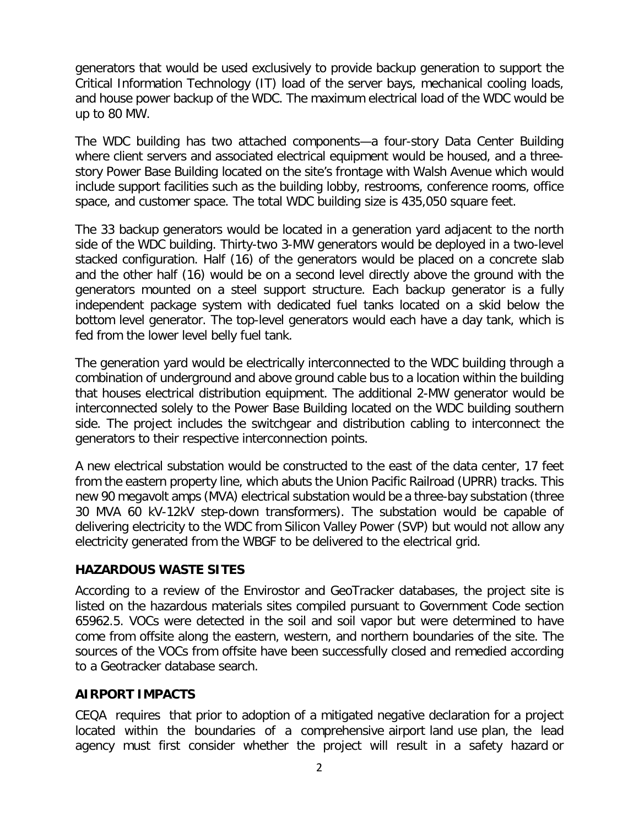generators that would be used exclusively to provide backup generation to support the Critical Information Technology (IT) load of the server bays, mechanical cooling loads, and house power backup of the WDC. The maximum electrical load of the WDC would be up to 80 MW.

The WDC building has two attached components—a four-story Data Center Building where client servers and associated electrical equipment would be housed, and a threestory Power Base Building located on the site's frontage with Walsh Avenue which would include support facilities such as the building lobby, restrooms, conference rooms, office space, and customer space. The total WDC building size is 435,050 square feet.

The 33 backup generators would be located in a generation yard adjacent to the north side of the WDC building. Thirty-two 3-MW generators would be deployed in a two-level stacked configuration. Half (16) of the generators would be placed on a concrete slab and the other half (16) would be on a second level directly above the ground with the generators mounted on a steel support structure. Each backup generator is a fully independent package system with dedicated fuel tanks located on a skid below the bottom level generator. The top-level generators would each have a day tank, which is fed from the lower level belly fuel tank.

The generation yard would be electrically interconnected to the WDC building through a combination of underground and above ground cable bus to a location within the building that houses electrical distribution equipment. The additional 2-MW generator would be interconnected solely to the Power Base Building located on the WDC building southern side. The project includes the switchgear and distribution cabling to interconnect the generators to their respective interconnection points.

A new electrical substation would be constructed to the east of the data center, 17 feet from the eastern property line, which abuts the Union Pacific Railroad (UPRR) tracks. This new 90 megavolt amps (MVA) electrical substation would be a three-bay substation (three 30 MVA 60 kV-12kV step-down transformers). The substation would be capable of delivering electricity to the WDC from Silicon Valley Power (SVP) but would not allow any electricity generated from the WBGF to be delivered to the electrical grid.

### **HAZARDOUS WASTE SITES**

According to a review of the Envirostor and GeoTracker databases, the project site is listed on the hazardous materials sites compiled pursuant to Government Code section 65962.5. VOCs were detected in the soil and soil vapor but were determined to have come from offsite along the eastern, western, and northern boundaries of the site. The sources of the VOCs from offsite have been successfully closed and remedied according to a Geotracker database search.

## **AIRPORT IMPACTS**

CEQA requires that prior to adoption of a mitigated negative declaration for a project located within the boundaries of a comprehensive airport land use plan, the lead agency must first consider whether the project will result in a safety hazard or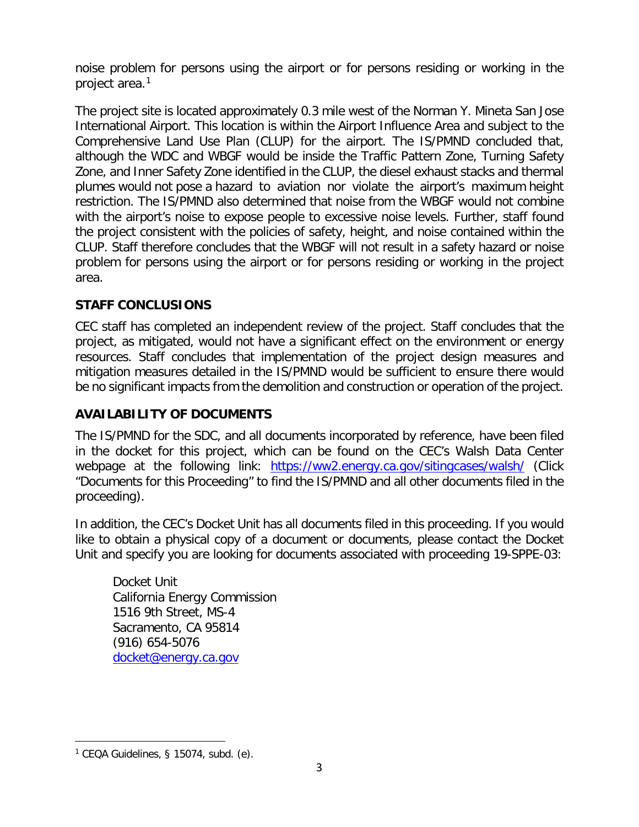noise problem for persons using the airport or for persons residing or working in the project area.[1](#page-3-0)

The project site is located approximately 0.3 mile west of the Norman Y. Mineta San Jose International Airport. This location is within the Airport Influence Area and subject to the Comprehensive Land Use Plan (CLUP) for the airport. The IS/PMND concluded that, although the WDC and WBGF would be inside the Traffic Pattern Zone, Turning Safety Zone, and Inner Safety Zone identified in the CLUP, the diesel exhaust stacks and thermal plumes would not pose a hazard to aviation nor violate the airport's maximum height restriction. The IS/PMND also determined that noise from the WBGF would not combine with the airport's noise to expose people to excessive noise levels. Further, staff found the project consistent with the policies of safety, height, and noise contained within the CLUP. Staff therefore concludes that the WBGF will not result in a safety hazard or noise problem for persons using the airport or for persons residing or working in the project area.

# **STAFF CONCLUSIONS**

CEC staff has completed an independent review of the project. Staff concludes that the project, as mitigated, would not have a significant effect on the environment or energy resources. Staff concludes that implementation of the project design measures and mitigation measures detailed in the IS/PMND would be sufficient to ensure there would be no significant impacts from the demolition and construction or operation of the project.

### **AVAILABILITY OF DOCUMENTS**

The IS/PMND for the SDC, and all documents incorporated by reference, have been filed in the docket for this project, which can be found on the CEC's Walsh Data Center webpage at the following link: <https://ww2.energy.ca.gov/sitingcases/walsh/> (Click "Documents for this Proceeding" to find the IS/PMND and all other documents filed in the proceeding).

In addition, the CEC's Docket Unit has all documents filed in this proceeding. If you would like to obtain a physical copy of a document or documents, please contact the Docket Unit and specify you are looking for documents associated with proceeding 19-SPPE-03:

Docket Unit California Energy Commission 1516 9th Street, MS-4 Sacramento, CA 95814 (916) 654-5076 [docket@energy.ca.gov](mailto:docket@energy.ca.gov)

 $\overline{a}$ 

<span id="page-3-0"></span> $1$  CEQA Guidelines, § 15074, subd. (e).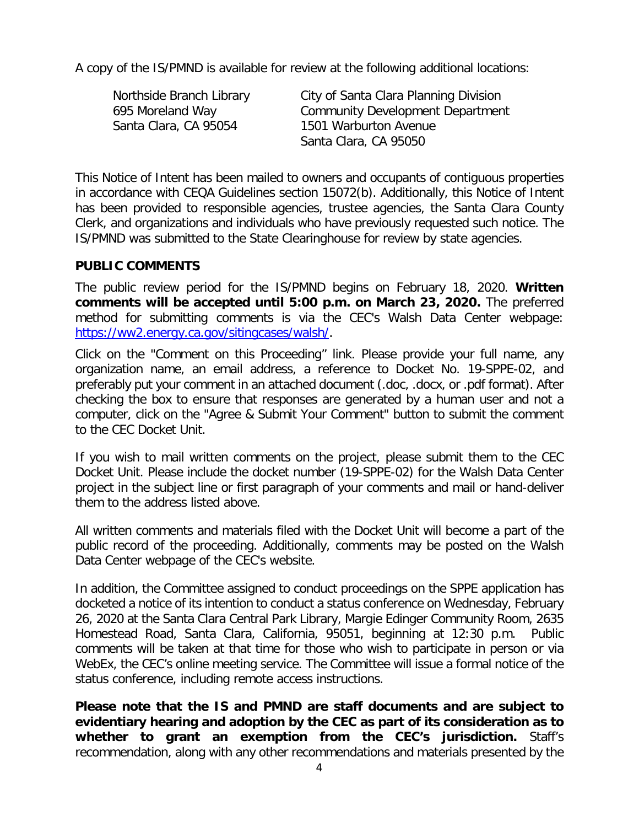A copy of the IS/PMND is available for review at the following additional locations:

| Northside Branch Library | City of Santa Clara Planning Division   |
|--------------------------|-----------------------------------------|
| 695 Moreland Way         | <b>Community Development Department</b> |
| Santa Clara, CA 95054    | 1501 Warburton Avenue                   |
|                          | Santa Clara, CA 95050                   |

This Notice of Intent has been mailed to owners and occupants of contiguous properties in accordance with CEQA Guidelines section 15072(b). Additionally, this Notice of Intent has been provided to responsible agencies, trustee agencies, the Santa Clara County Clerk, and organizations and individuals who have previously requested such notice. The IS/PMND was submitted to the State Clearinghouse for review by state agencies.

#### **PUBLIC COMMENTS**

The public review period for the IS/PMND begins on February 18, 2020. **Written comments will be accepted until 5:00 p.m. on March 23, 2020.** The preferred method for submitting comments is via the CEC's Walsh Data Center webpage: [https://ww2.energy.ca.gov/sitingcases/walsh/.](https://ww2.energy.ca.gov/sitingcases/walsh/)

Click on the "Comment on this Proceeding" link. Please provide your full name, any organization name, an email address, a reference to Docket No. 19-SPPE-02, and preferably put your comment in an attached document (.doc, .docx, or .pdf format). After checking the box to ensure that responses are generated by a human user and not a computer, click on the "Agree & Submit Your Comment" button to submit the comment to the CEC Docket Unit.

If you wish to mail written comments on the project, please submit them to the CEC Docket Unit. Please include the docket number (19-SPPE-02) for the Walsh Data Center project in the subject line or first paragraph of your comments and mail or hand-deliver them to the address listed above.

All written comments and materials filed with the Docket Unit will become a part of the public record of the proceeding. Additionally, comments may be posted on the Walsh Data Center webpage of the CEC's website.

In addition, the Committee assigned to conduct proceedings on the SPPE application has docketed a notice of its intention to conduct a status conference on Wednesday, February 26, 2020 at the Santa Clara Central Park Library, Margie Edinger Community Room, 2635 Homestead Road, Santa Clara, California, 95051, beginning at 12:30 p.m. Public comments will be taken at that time for those who wish to participate in person or via WebEx, the CEC's online meeting service. The Committee will issue a formal notice of the status conference, including remote access instructions.

**Please note that the IS and PMND are staff documents and are subject to evidentiary hearing and adoption by the CEC as part of its consideration as to whether to grant an exemption from the CEC's jurisdiction.** Staff's recommendation, along with any other recommendations and materials presented by the